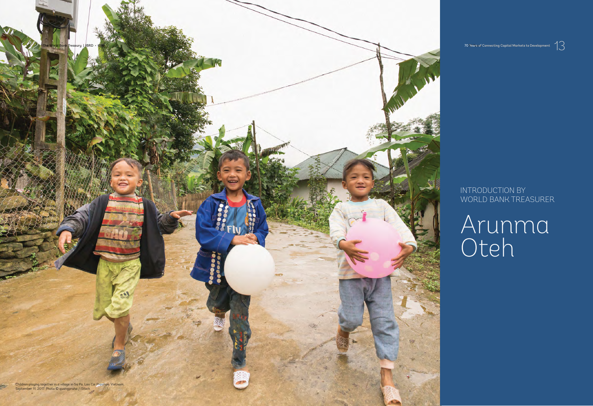## INTRODUCTION BY WORLD BANK TREASURER

Arunma Oteh

Children playing together in a village in Sa Pa, Lao Cai Province, Vietnam. September 11, 2017. Photo © quangpraha / iStock

The World Bank Treasury | IBRD • IDA 70 Years of Connecting Capital Markets to Development The World Bank Treasury | IBRD + 10A<br>2 The World Bank Treasury | IBRD + 10A<br>2 The World Bank Treasury | IBRD + 10A